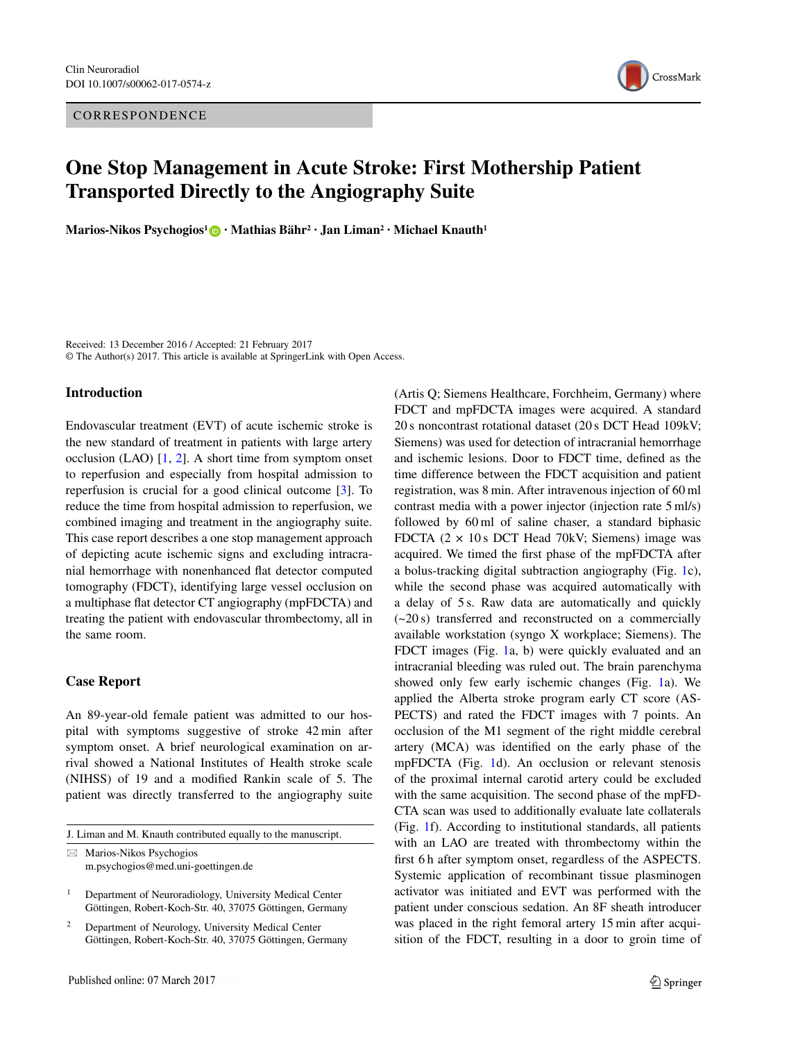CORRESPONDENCE



# **One Stop Management in Acute Stroke: First Mothership Patient Transported Directly to the Angiography Suite**

**Marios-Nikos Psychogios1 · Mathias Bähr2 · Jan Liman2 · Michael Knauth1**

Received: 13 December 2016 / Accepted: 21 February 2017 © The Author(s) 2017. This article is available at SpringerLink with Open Access.

## **Introduction**

Endovascular treatment (EVT) of acute ischemic stroke is the new standard of treatment in patients with large artery occlusion (LAO)  $[1, 2]$  $[1, 2]$  $[1, 2]$ . A short time from symptom onset to reperfusion and especially from hospital admission to reperfusion is crucial for a good clinical outcome [\[3\]](#page-2-2). To reduce the time from hospital admission to reperfusion, we combined imaging and treatment in the angiography suite. This case report describes a one stop management approach of depicting acute ischemic signs and excluding intracranial hemorrhage with nonenhanced flat detector computed tomography (FDCT), identifying large vessel occlusion on a multiphase flat detector CT angiography (mpFDCTA) and treating the patient with endovascular thrombectomy, all in the same room.

#### **Case Report**

An 89-year-old female patient was admitted to our hospital with symptoms suggestive of stroke 42 min after symptom onset. A brief neurological examination on arrival showed a National Institutes of Health stroke scale (NIHSS) of 19 and a modified Rankin scale of 5. The patient was directly transferred to the angiography suite

J. Liman and M. Knauth contributed equally to the manuscript.

 $\boxtimes$  Marios-Nikos Psychogios m.psychogios@med.uni-goettingen.de (Artis Q; Siemens Healthcare, Forchheim, Germany) where FDCT and mpFDCTA images were acquired. A standard 20 s noncontrast rotational dataset (20 s DCT Head 109kV; Siemens) was used for detection of intracranial hemorrhage and ischemic lesions. Door to FDCT time, defined as the time difference between the FDCT acquisition and patient registration, was 8 min. After intravenous injection of 60 ml contrast media with a power injector (injection rate 5 ml/s) followed by 60 ml of saline chaser, a standard biphasic FDCTA  $(2 \times 10 \text{ s }$  DCT Head 70kV; Siemens) image was acquired. We timed the first phase of the mpFDCTA after a bolus-tracking digital subtraction angiography (Fig. [1c](#page-1-0)), while the second phase was acquired automatically with a delay of 5 s. Raw data are automatically and quickly (~20 s) transferred and reconstructed on a commercially available workstation (syngo X workplace; Siemens). The FDCT images (Fig. [1a](#page-1-0), b) were quickly evaluated and an intracranial bleeding was ruled out. The brain parenchyma showed only few early ischemic changes (Fig. [1a](#page-1-0)). We applied the Alberta stroke program early CT score (AS-PECTS) and rated the FDCT images with 7 points. An occlusion of the M1 segment of the right middle cerebral artery (MCA) was identified on the early phase of the mpFDCTA (Fig. [1d](#page-1-0)). An occlusion or relevant stenosis of the proximal internal carotid artery could be excluded with the same acquisition. The second phase of the mpFD-CTA scan was used to additionally evaluate late collaterals (Fig. [1f](#page-1-0)). According to institutional standards, all patients with an LAO are treated with thrombectomy within the first 6 h after symptom onset, regardless of the ASPECTS. Systemic application of recombinant tissue plasminogen activator was initiated and EVT was performed with the patient under conscious sedation. An 8F sheath introducer was placed in the right femoral artery 15 min after acquisition of the FDCT, resulting in a door to groin time of

<sup>1</sup> Department of Neuroradiology, University Medical Center Göttingen, Robert-Koch-Str. 40, 37075 Göttingen, Germany

<sup>2</sup> Department of Neurology, University Medical Center Göttingen, Robert-Koch-Str. 40, 37075 Göttingen, Germany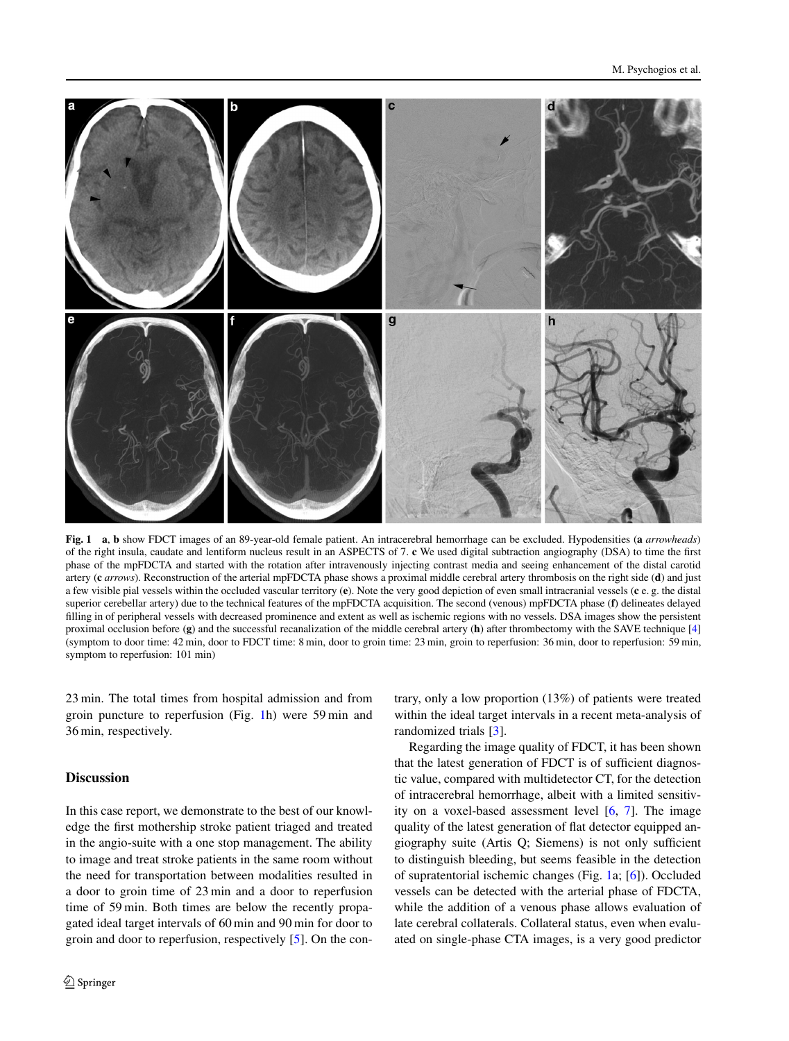

<span id="page-1-0"></span>**Fig. 1 a**, **b** show FDCT images of an 89-year-old female patient. An intracerebral hemorrhage can be excluded. Hypodensities (**a** *arrowheads*) of the right insula, caudate and lentiform nucleus result in an ASPECTS of 7. **c** We used digital subtraction angiography (DSA) to time the first phase of the mpFDCTA and started with the rotation after intravenously injecting contrast media and seeing enhancement of the distal carotid artery (**c** *arrows*). Reconstruction of the arterial mpFDCTA phase shows a proximal middle cerebral artery thrombosis on the right side (**d**) and just a few visible pial vessels within the occluded vascular territory (**e**). Note the very good depiction of even small intracranial vessels (**c** e. g. the distal superior cerebellar artery) due to the technical features of the mpFDCTA acquisition. The second (venous) mpFDCTA phase (**f**) delineates delayed filling in of peripheral vessels with decreased prominence and extent as well as ischemic regions with no vessels. DSA images show the persistent proximal occlusion before (**g**) and the successful recanalization of the middle cerebral artery (**h**) after thrombectomy with the SAVE technique [\[4\]](#page-2-3) (symptom to door time: 42 min, door to FDCT time: 8 min, door to groin time: 23 min, groin to reperfusion: 36 min, door to reperfusion: 59 min, symptom to reperfusion: 101 min)

23 min. The total times from hospital admission and from groin puncture to reperfusion (Fig. [1h](#page-1-0)) were 59 min and 36 min, respectively.

## **Discussion**

In this case report, we demonstrate to the best of our knowledge the first mothership stroke patient triaged and treated in the angio-suite with a one stop management. The ability to image and treat stroke patients in the same room without the need for transportation between modalities resulted in a door to groin time of 23 min and a door to reperfusion time of 59 min. Both times are below the recently propagated ideal target intervals of 60 min and 90 min for door to groin and door to reperfusion, respectively [\[5\]](#page-2-4). On the contrary, only a low proportion (13%) of patients were treated within the ideal target intervals in a recent meta-analysis of randomized trials [\[3\]](#page-2-2).

Regarding the image quality of FDCT, it has been shown that the latest generation of FDCT is of sufficient diagnostic value, compared with multidetector CT, for the detection of intracerebral hemorrhage, albeit with a limited sensitivity on a voxel-based assessment level  $[6, 7]$  $[6, 7]$  $[6, 7]$ . The image quality of the latest generation of flat detector equipped angiography suite (Artis Q; Siemens) is not only sufficient to distinguish bleeding, but seems feasible in the detection of supratentorial ischemic changes (Fig. [1a](#page-1-0); [\[6\]](#page-2-5)). Occluded vessels can be detected with the arterial phase of FDCTA, while the addition of a venous phase allows evaluation of late cerebral collaterals. Collateral status, even when evaluated on single-phase CTA images, is a very good predictor